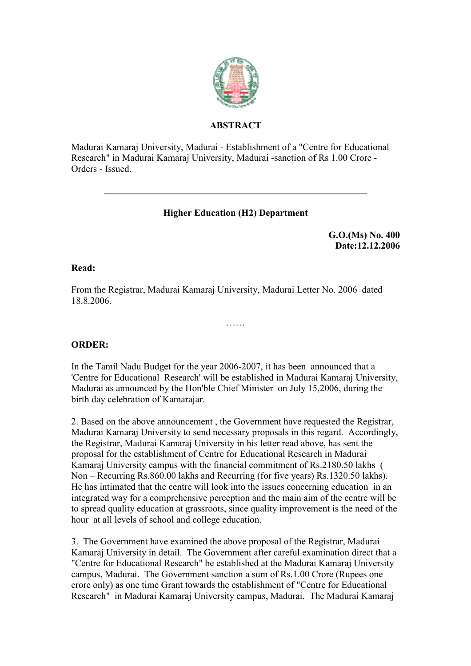

## **ABSTRACT**

Madurai Kamaraj University, Madurai - Establishment of a "Centre for Educational Research" in Madurai Kamaraj University, Madurai -sanction of Rs 1.00 Crore - Orders - Issued.

# **Higher Education (H2) Department**

**G.O.(Ms) No. 400 Date:12.12.2006**

#### **Read:**

From the Registrar, Madurai Kamaraj University, Madurai Letter No. 2006 dated 18.8.2006.

### **ORDER:**

In the Tamil Nadu Budget for the year 2006-2007, it has been announced that a 'Centre for Educational Research' will be established in Madurai Kamaraj University, Madurai as announced by the Hon'ble Chief Minister on July 15,2006, during the birth day celebration of Kamarajar.

……

2. Based on the above announcement , the Government have requested the Registrar, Madurai Kamaraj University to send necessary proposals in this regard. Accordingly, the Registrar, Madurai Kamaraj University in his letter read above, has sent the proposal for the establishment of Centre for Educational Research in Madurai Kamaraj University campus with the financial commitment of Rs.2180.50 lakhs ( Non – Recurring Rs.860.00 lakhs and Recurring (for five years) Rs.1320.50 lakhs). He has intimated that the centre will look into the issues concerning education in an integrated way for a comprehensive perception and the main aim of the centre will be to spread quality education at grassroots, since quality improvement is the need of the hour at all levels of school and college education.

3. The Government have examined the above proposal of the Registrar, Madurai Kamaraj University in detail. The Government after careful examination direct that a "Centre for Educational Research" be established at the Madurai Kamaraj University campus, Madurai. The Government sanction a sum of Rs.1.00 Crore (Rupees one crore only) as one time Grant towards the establishment of "Centre for Educational Research" in Madurai Kamaraj University campus, Madurai. The Madurai Kamaraj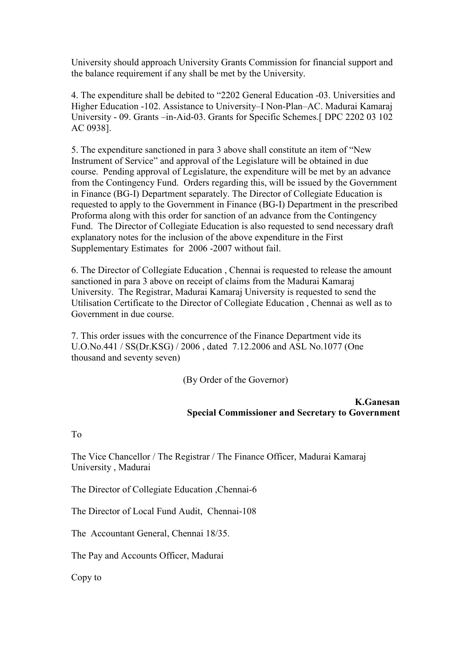University should approach University Grants Commission for financial support and the balance requirement if any shall be met by the University.

4. The expenditure shall be debited to "2202 General Education -03. Universities and Higher Education -102. Assistance to University–I Non-Plan–AC. Madurai Kamaraj University - 09. Grants –in-Aid-03. Grants for Specific Schemes.[ DPC 2202 03 102 AC 0938].

5. The expenditure sanctioned in para 3 above shall constitute an item of "New Instrument of Service" and approval of the Legislature will be obtained in due course. Pending approval of Legislature, the expenditure will be met by an advance from the Contingency Fund. Orders regarding this, will be issued by the Government in Finance (BG-I) Department separately. The Director of Collegiate Education is requested to apply to the Government in Finance (BG-I) Department in the prescribed Proforma along with this order for sanction of an advance from the Contingency Fund. The Director of Collegiate Education is also requested to send necessary draft explanatory notes for the inclusion of the above expenditure in the First Supplementary Estimates for 2006 -2007 without fail.

6. The Director of Collegiate Education , Chennai is requested to release the amount sanctioned in para 3 above on receipt of claims from the Madurai Kamaraj University. The Registrar, Madurai Kamaraj University is requested to send the Utilisation Certificate to the Director of Collegiate Education , Chennai as well as to Government in due course.

7. This order issues with the concurrence of the Finance Department vide its U.O.No.441 / SS(Dr.KSG) / 2006 , dated 7.12.2006 and ASL No.1077 (One thousand and seventy seven)

(By Order of the Governor)

#### **K.Ganesan Special Commissioner and Secretary to Government**

To

The Vice Chancellor / The Registrar / The Finance Officer, Madurai Kamaraj University , Madurai

The Director of Collegiate Education ,Chennai-6

The Director of Local Fund Audit, Chennai-108

The Accountant General, Chennai 18/35.

The Pay and Accounts Officer, Madurai

Copy to